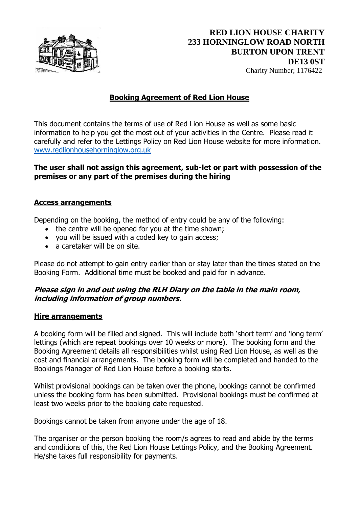

# **Booking Agreement of Red Lion House**

This document contains the terms of use of Red Lion House as well as some basic information to help you get the most out of your activities in the Centre. Please read it carefully and refer to the Lettings Policy on Red Lion House website for more information. [www.redlionhousehorninglow.org.uk](http://www.redlionhousehorninglow.org.uk/)

#### **The user shall not assign this agreement, sub-let or part with possession of the premises or any part of the premises during the hiring**

#### **Access arrangements**

Depending on the booking, the method of entry could be any of the following:

- the centre will be opened for you at the time shown;
- you will be issued with a coded key to gain access;
- a caretaker will be on site.

Please do not attempt to gain entry earlier than or stay later than the times stated on the Booking Form. Additional time must be booked and paid for in advance.

### **Please sign in and out using the RLH Diary on the table in the main room, including information of group numbers.**

#### **Hire arrangements**

A booking form will be filled and signed. This will include both 'short term' and 'long term' lettings (which are repeat bookings over 10 weeks or more). The booking form and the Booking Agreement details all responsibilities whilst using Red Lion House, as well as the cost and financial arrangements. The booking form will be completed and handed to the Bookings Manager of Red Lion House before a booking starts.

Whilst provisional bookings can be taken over the phone, bookings cannot be confirmed unless the booking form has been submitted. Provisional bookings must be confirmed at least two weeks prior to the booking date requested.

Bookings cannot be taken from anyone under the age of 18.

The organiser or the person booking the room/s agrees to read and abide by the terms and conditions of this, the Red Lion House Lettings Policy, and the Booking Agreement. He/she takes full responsibility for payments.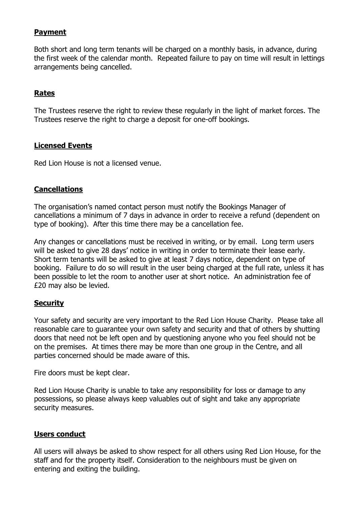## **Payment**

Both short and long term tenants will be charged on a monthly basis, in advance, during the first week of the calendar month. Repeated failure to pay on time will result in lettings arrangements being cancelled.

## **Rates**

The Trustees reserve the right to review these regularly in the light of market forces. The Trustees reserve the right to charge a deposit for one-off bookings.

## **Licensed Events**

Red Lion House is not a licensed venue.

## **Cancellations**

The organisation's named contact person must notify the Bookings Manager of cancellations a minimum of 7 days in advance in order to receive a refund (dependent on type of booking). After this time there may be a cancellation fee.

Any changes or cancellations must be received in writing, or by email. Long term users will be asked to give 28 days' notice in writing in order to terminate their lease early. Short term tenants will be asked to give at least 7 days notice, dependent on type of booking. Failure to do so will result in the user being charged at the full rate, unless it has been possible to let the room to another user at short notice. An administration fee of £20 may also be levied.

### **Security**

Your safety and security are very important to the Red Lion House Charity. Please take all reasonable care to guarantee your own safety and security and that of others by shutting doors that need not be left open and by questioning anyone who you feel should not be on the premises. At times there may be more than one group in the Centre, and all parties concerned should be made aware of this.

Fire doors must be kept clear.

Red Lion House Charity is unable to take any responsibility for loss or damage to any possessions, so please always keep valuables out of sight and take any appropriate security measures.

### **Users conduct**

All users will always be asked to show respect for all others using Red Lion House, for the staff and for the property itself. Consideration to the neighbours must be given on entering and exiting the building.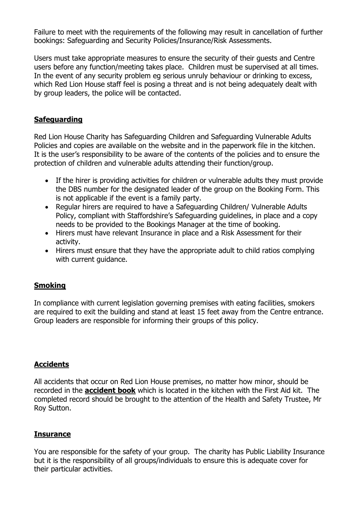Failure to meet with the requirements of the following may result in cancellation of further bookings: Safeguarding and Security Policies/Insurance/Risk Assessments.

Users must take appropriate measures to ensure the security of their guests and Centre users before any function/meeting takes place. Children must be supervised at all times. In the event of any security problem eg serious unruly behaviour or drinking to excess, which Red Lion House staff feel is posing a threat and is not being adequately dealt with by group leaders, the police will be contacted.

# **Safeguarding**

Red Lion House Charity has Safeguarding Children and Safeguarding Vulnerable Adults Policies and copies are available on the website and in the paperwork file in the kitchen. It is the user's responsibility to be aware of the contents of the policies and to ensure the protection of children and vulnerable adults attending their function/group.

- If the hirer is providing activities for children or vulnerable adults they must provide the DBS number for the designated leader of the group on the Booking Form. This is not applicable if the event is a family party.
- Regular hirers are required to have a Safeguarding Children/ Vulnerable Adults Policy, compliant with Staffordshire's Safeguarding guidelines, in place and a copy needs to be provided to the Bookings Manager at the time of booking.
- Hirers must have relevant Insurance in place and a Risk Assessment for their activity.
- Hirers must ensure that they have the appropriate adult to child ratios complying with current guidance.

### **Smoking**

In compliance with current legislation governing premises with eating facilities, smokers are required to exit the building and stand at least 15 feet away from the Centre entrance. Group leaders are responsible for informing their groups of this policy.

### **Accidents**

All accidents that occur on Red Lion House premises, no matter how minor, should be recorded in the **accident book** which is located in the kitchen with the First Aid kit. The completed record should be brought to the attention of the Health and Safety Trustee, Mr Roy Sutton.

#### **Insurance**

You are responsible for the safety of your group. The charity has Public Liability Insurance but it is the responsibility of all groups/individuals to ensure this is adequate cover for their particular activities.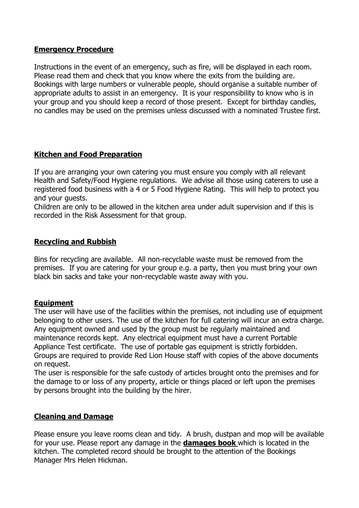## **Emergency Procedure**

Instructions in the event of an emergency, such as fire, will be displayed in each room. Please read them and check that you know where the exits from the building are. Bookings with large numbers or vulnerable people, should organise a suitable number of appropriate adults to assist in an emergency. It is your responsibility to know who is in your group and you should keep a record of those present. Except for birthday candles, no candles may be used on the premises unless discussed with a nominated Trustee first.

## **Kitchen and Food Preparation**

If you are arranging your own catering you must ensure you comply with all relevant Health and Safety/Food Hygiene regulations. We advise all those using caterers to use a registered food business with a 4 or 5 Food Hygiene Rating. This will help to protect you and your guests.

Children are only to be allowed in the kitchen area under adult supervision and if this is recorded in the Risk Assessment for that group.

## **Recycling and Rubbish**

Bins for recycling are available. All non-recyclable waste must be removed from the premises. If you are catering for your group e.g. a party, then you must bring your own black bin sacks and take your non-recyclable waste away with you.

### **Equipment**

The user will have use of the facilities within the premises, not including use of equipment belonging to other users. The use of the kitchen for full catering will incur an extra charge. Any equipment owned and used by the group must be regularly maintained and maintenance records kept. Any electrical equipment must have a current Portable Appliance Test certificate. The use of portable gas equipment is strictly forbidden. Groups are required to provide Red Lion House staff with copies of the above documents on request.

The user is responsible for the safe custody of articles brought onto the premises and for the damage to or loss of any property, article or things placed or left upon the premises by persons brought into the building by the hirer.

### **Cleaning and Damage**

Please ensure you leave rooms clean and tidy. A brush, dustpan and mop will be available for your use. Please report any damage in the **damages book** which is located in the kitchen. The completed record should be brought to the attention of the Bookings Manager Mrs Helen Hickman.